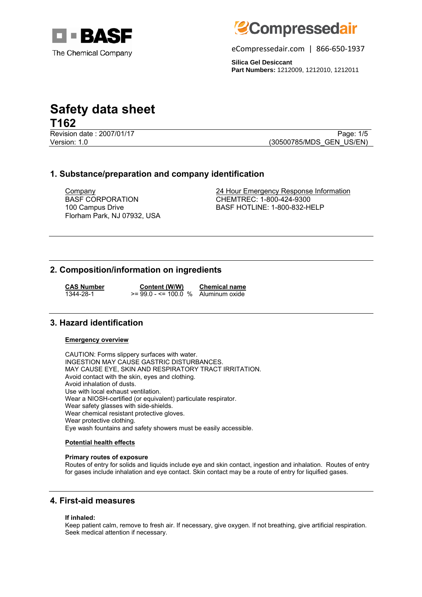



eCompressedair.com | 866-650-1937

**Silica Gel Desiccant Part Numbers:** 1212009, 1212010, 1212011

# **Safety data sheet T162**

Revision date : 2007/01/17 Page: 1/5 Version: 1.0 **(30500785/MDS\_GEN\_US/EN)** 

# **1. Substance/preparation and company identification**

BASF CORPORATION 100 Campus Drive Florham Park, NJ 07932, USA

Company 24 Hour Emergency Response Information CHEMTREC: 1-800-424-9300 BASF HOTLINE: 1-800-832-HELP

# **2. Composition/information on ingredients**

**CAS Number Content (W/W) Chemical name**<br>1344-28-1 **CONTENT CONTENT CONTENT**  $\leq 99.0 - \leq 100.0$  % Aluminum oxide  $>= 99.0 - \le 100.0$  %

### **3. Hazard identification**

#### **Emergency overview**

CAUTION: Forms slippery surfaces with water. INGESTION MAY CAUSE GASTRIC DISTURBANCES. MAY CAUSE EYE, SKIN AND RESPIRATORY TRACT IRRITATION. Avoid contact with the skin, eyes and clothing. Avoid inhalation of dusts. Use with local exhaust ventilation. Wear a NIOSH-certified (or equivalent) particulate respirator. Wear safety glasses with side-shields. Wear chemical resistant protective gloves. Wear protective clothing. Eye wash fountains and safety showers must be easily accessible.

#### **Potential health effects**

#### **Primary routes of exposure**

Routes of entry for solids and liquids include eye and skin contact, ingestion and inhalation. Routes of entry for gases include inhalation and eye contact. Skin contact may be a route of entry for liquified gases.

# **4. First-aid measures**

#### **If inhaled:**

Keep patient calm, remove to fresh air. If necessary, give oxygen. If not breathing, give artificial respiration. Seek medical attention if necessary.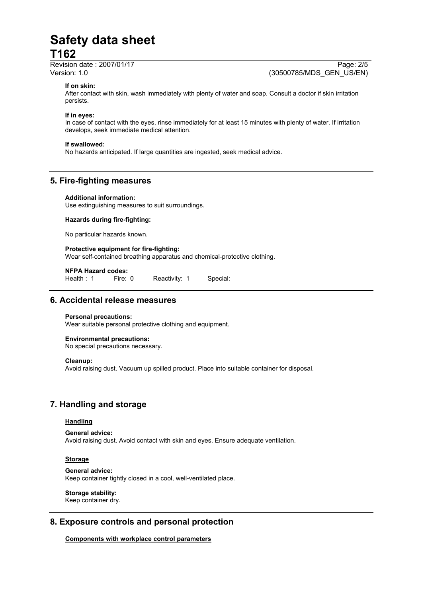Revision date : 2007/01/17 Page: 2/5 Version: 1.0 (30500785/MDS\_GEN\_US/EN)

#### **If on skin:**

After contact with skin, wash immediately with plenty of water and soap. Consult a doctor if skin irritation persists.

#### **If in eyes:**

In case of contact with the eyes, rinse immediately for at least 15 minutes with plenty of water. If irritation develops, seek immediate medical attention.

#### **If swallowed:**

No hazards anticipated. If large quantities are ingested, seek medical advice.

### **5. Fire-fighting measures**

#### **Additional information:**

Use extinguishing measures to suit surroundings.

#### **Hazards during fire-fighting:**

No particular hazards known.

#### **Protective equipment for fire-fighting:** Wear self-contained breathing apparatus and chemical-protective clothing.

**NFPA Hazard codes:**

Reactivity: 1 Special:

## **6. Accidental release measures**

#### **Personal precautions:**

Wear suitable personal protective clothing and equipment.

#### **Environmental precautions:**

No special precautions necessary.

#### **Cleanup:**

Avoid raising dust. Vacuum up spilled product. Place into suitable container for disposal.

# **7. Handling and storage**

#### **Handling**

**General advice:** Avoid raising dust. Avoid contact with skin and eyes. Ensure adequate ventilation.

#### **Storage**

**General advice:** Keep container tightly closed in a cool, well-ventilated place.

#### **Storage stability:**

Keep container dry.

# **8. Exposure controls and personal protection**

**Components with workplace control parameters**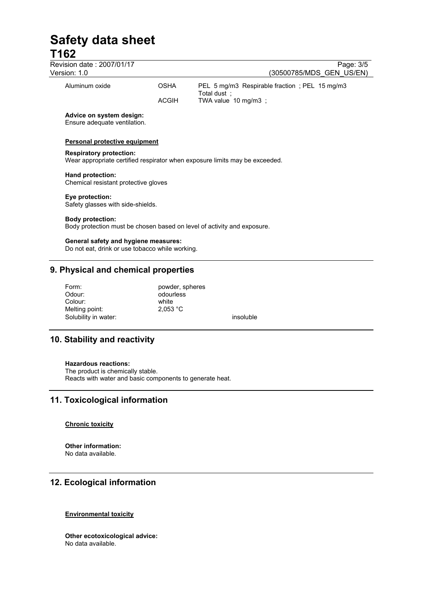| Revision date: 2007/01/17<br>Version: 1.0                |              | Page: 3/5<br>(30500785/MDS GEN US/EN)                                       |
|----------------------------------------------------------|--------------|-----------------------------------------------------------------------------|
| Aluminum oxide                                           | <b>OSHA</b>  | PEL 5 mg/m3 Respirable fraction; PEL 15 mg/m3<br>Total dust:                |
|                                                          | <b>ACGIH</b> | TWA value 10 mg/m3;                                                         |
| Advice on system design:<br>Ensure adequate ventilation. |              |                                                                             |
| Personal protective equipment                            |              |                                                                             |
| <b>Respiratory protection:</b>                           |              | Wear appropriate certified respirator when exposure limits may be exceeded. |
| Hand protection:<br>Chemical resistant protective gloves |              |                                                                             |
| Eye protection:<br>Safety glasses with side-shields.     |              |                                                                             |
| <b>Body protection:</b>                                  |              | Body protection must be chosen based on level of activity and exposure.     |

### **General safety and hygiene measures:**

Do not eat, drink or use tobacco while working.

## **9. Physical and chemical properties**

| Form:                | powder, spheres |           |
|----------------------|-----------------|-----------|
| Odour:               | odourless       |           |
| Colour:              | white           |           |
| Melting point:       | 2.053 °C        |           |
| Solubility in water: |                 | insoluble |

# **10. Stability and reactivity**

#### **Hazardous reactions:**

The product is chemically stable. Reacts with water and basic components to generate heat.

# **11. Toxicological information**

#### **Chronic toxicity**

**Other information:**  No data available.

# **12. Ecological information**

### **Environmental toxicity**

**Other ecotoxicological advice:**  No data available.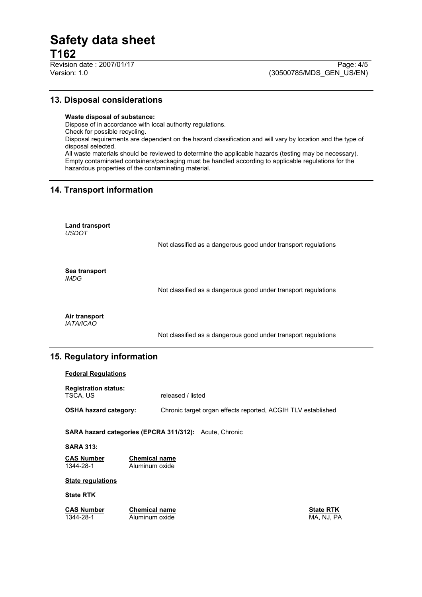# **13. Disposal considerations**

#### **Waste disposal of substance:**

Dispose of in accordance with local authority regulations. Check for possible recycling. Disposal requirements are dependent on the hazard classification and will vary by location and the type of disposal selected. All waste materials should be reviewed to determine the applicable hazards (testing may be necessary). Empty contaminated containers/packaging must be handled according to applicable regulations for the hazardous properties of the contaminating material.

# **14. Transport information**

**Land transport**  *USDOT* 

Not classified as a dangerous good under transport regulations

**Sea transport**  *IMDG*

Not classified as a dangerous good under transport regulations

**Air transport**  *IATA/ICAO* 

Not classified as a dangerous good under transport regulations

# **15. Regulatory information**

| <b>Federal Regulations</b>                                    |                                        |                                                              |                  |  |
|---------------------------------------------------------------|----------------------------------------|--------------------------------------------------------------|------------------|--|
| <b>Registration status:</b><br>TSCA, US                       |                                        | released / listed                                            |                  |  |
| <b>OSHA hazard category:</b>                                  |                                        | Chronic target organ effects reported, ACGIH TLV established |                  |  |
| <b>SARA hazard categories (EPCRA 311/312):</b> Acute, Chronic |                                        |                                                              |                  |  |
| <b>SARA 313:</b>                                              |                                        |                                                              |                  |  |
| <b>CAS Number</b><br>1344-28-1                                | <b>Chemical name</b><br>Aluminum oxide |                                                              |                  |  |
| <b>State regulations</b>                                      |                                        |                                                              |                  |  |
| <b>State RTK</b>                                              |                                        |                                                              |                  |  |
| <b>CAS Number</b>                                             | <b>Chemical name</b>                   |                                                              | <b>State RTK</b> |  |

1344-28-1 Aluminum oxide MA, NJ, PA